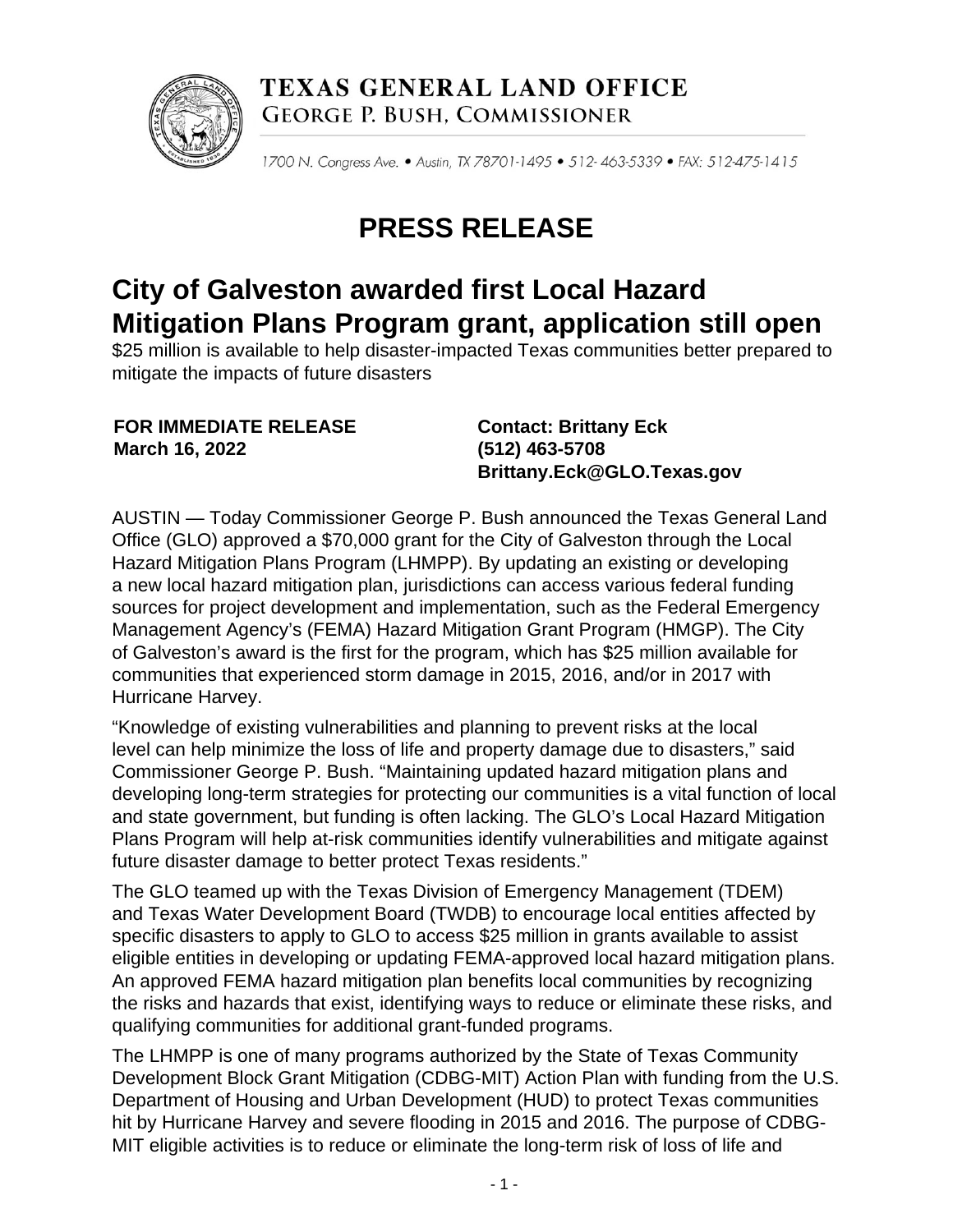

**TEXAS GENERAL LAND OFFICE GEORGE P. BUSH, COMMISSIONER** 

1700 N. Congress Ave. . Austin, TX 78701-1495 . 512-463-5339 . FAX: 512-475-1415

## **PRESS RELEASE**

## **City of Galveston awarded first Local Hazard Mitigation Plans Program grant, application still open**

\$25 million is available to help disaster-impacted Texas communities better prepared to mitigate the impacts of future disasters

**FOR IMMEDIATE RELEASE March 16, 2022**

**Contact: Brittany Eck (512) 463-5708 Brittany.Eck@GLO.Texas.gov**

AUSTIN — Today Commissioner George P. Bush announced the Texas General Land Office (GLO) approved a \$70,000 grant for the City of Galveston through the Local Hazard Mitigation Plans Program (LHMPP). By updating an existing or developing a new local hazard mitigation plan, jurisdictions can access various federal funding sources for project development and implementation, such as the Federal Emergency Management Agency's (FEMA) Hazard Mitigation Grant Program (HMGP). The City of Galveston's award is the first for the program, which has \$25 million available for communities that experienced storm damage in 2015, 2016, and/or in 2017 with Hurricane Harvey.

"Knowledge of existing vulnerabilities and planning to prevent risks at the local level can help minimize the loss of life and property damage due to disasters," said Commissioner George P. Bush. "Maintaining updated hazard mitigation plans and developing long-term strategies for protecting our communities is a vital function of local and state government, but funding is often lacking. The GLO's Local Hazard Mitigation Plans Program will help at-risk communities identify vulnerabilities and mitigate against future disaster damage to better protect Texas residents."

The GLO teamed up with the Texas Division of Emergency Management (TDEM) and Texas Water Development Board (TWDB) to encourage local entities affected by specific disasters to apply to GLO to access \$25 million in grants available to assist eligible entities in developing or updating FEMA-approved local hazard mitigation plans. An approved FEMA hazard mitigation plan benefits local communities by recognizing the risks and hazards that exist, identifying ways to reduce or eliminate these risks, and qualifying communities for additional grant-funded programs.

The LHMPP is one of many programs authorized by the State of Texas Community Development Block Grant Mitigation (CDBG-MIT) Action Plan with funding from the U.S. Department of Housing and Urban Development (HUD) to protect Texas communities hit by Hurricane Harvey and severe flooding in 2015 and 2016. The purpose of CDBG-MIT eligible activities is to reduce or eliminate the long-term risk of loss of life and